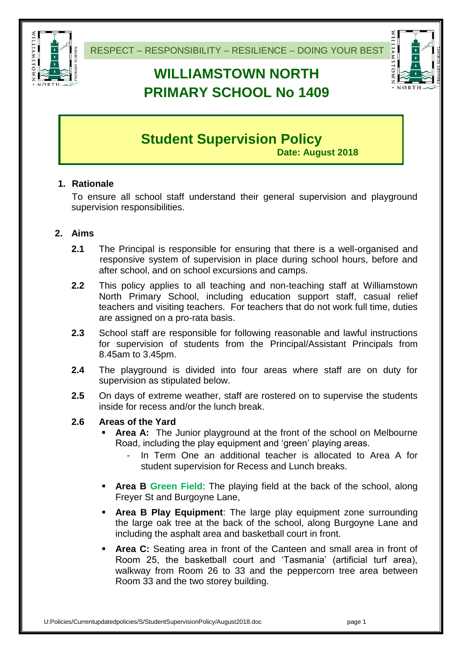

# **WILLIAMSTOWN NORTH PRIMARY SCHOOL No 1409**



# **Student Supervision Policy**

**Date: August 2018**

# **1. Rationale**

To ensure all school staff understand their general supervision and playground supervision responsibilities.

# **2. Aims**

- **2.1** The Principal is responsible for ensuring that there is a well-organised and responsive system of supervision in place during school hours, before and after school, and on school excursions and camps.
- **2.2** This policy applies to all teaching and non-teaching staff at Williamstown North Primary School, including education support staff, casual relief teachers and visiting teachers. For teachers that do not work full time, duties are assigned on a pro-rata basis.
- **2.3** School staff are responsible for following reasonable and lawful instructions for supervision of students from the Principal/Assistant Principals from 8.45am to 3.45pm.
- **2.4** The playground is divided into four areas where staff are on duty for supervision as stipulated below.
- **2.5** On days of extreme weather, staff are rostered on to supervise the students inside for recess and/or the lunch break.

# **2.6 Areas of the Yard**

- **Area A:** The Junior playground at the front of the school on Melbourne Road, including the play equipment and 'green' playing areas.
	- In Term One an additional teacher is allocated to Area A for student supervision for Recess and Lunch breaks.
- **Area B Green Field:** The playing field at the back of the school, along Freyer St and Burgoyne Lane,
- **Area B Play Equipment**: The large play equipment zone surrounding the large oak tree at the back of the school, along Burgoyne Lane and including the asphalt area and basketball court in front.
- **Area C:** Seating area in front of the Canteen and small area in front of Room 25, the basketball court and 'Tasmania' (artificial turf area), walkway from Room 26 to 33 and the peppercorn tree area between Room 33 and the two storey building.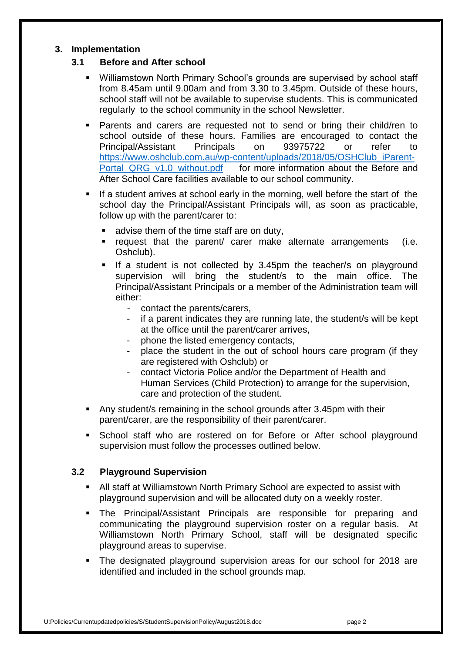#### **3. Implementation**

#### **3.1 Before and After school**

- Williamstown North Primary School's grounds are supervised by school staff from 8.45am until 9.00am and from 3.30 to 3.45pm. Outside of these hours, school staff will not be available to supervise students. This is communicated regularly to the school community in the school Newsletter.
- Parents and carers are requested not to send or bring their child/ren to school outside of these hours. Families are encouraged to contact the Principal/Assistant Principals on 93975722 or refer to [https://www.oshclub.com.au/wp-content/uploads/2018/05/OSHClub\\_iParent-](https://www.oshclub.com.au/wp-content/uploads/2018/05/OSHClub_iParent-Portal_QRG_v1.0_without.pdf)Portal QRG v1.0 without.pdf for more information about the Before and After School Care facilities available to our school community.
- If a student arrives at school early in the morning, well before the start of the school day the Principal/Assistant Principals will, as soon as practicable, follow up with the parent/carer to:
	- **advise them of the time staff are on duty,**
	- $\blacksquare$  request that the parent/ carer make alternate arrangements (i.e. Oshclub).
	- If a student is not collected by 3.45pm the teacher/s on playground supervision will bring the student/s to the main office. The Principal/Assistant Principals or a member of the Administration team will either:
		- contact the parents/carers,
		- if a parent indicates they are running late, the student/s will be kept at the office until the parent/carer arrives,
		- phone the listed emergency contacts,
		- place the student in the out of school hours care program (if they are registered with Oshclub) or
		- contact Victoria Police and/or the Department of Health and Human Services (Child Protection) to arrange for the supervision, care and protection of the student.
- Any student/s remaining in the school grounds after 3.45pm with their parent/carer, are the responsibility of their parent/carer.
- **School staff who are rostered on for Before or After school playground** supervision must follow the processes outlined below.

#### **3.2 Playground Supervision**

- All staff at Williamstown North Primary School are expected to assist with playground supervision and will be allocated duty on a weekly roster.
- The Principal/Assistant Principals are responsible for preparing and communicating the playground supervision roster on a regular basis. At Williamstown North Primary School, staff will be designated specific playground areas to supervise.
- The designated playground supervision areas for our school for 2018 are identified and included in the school grounds map.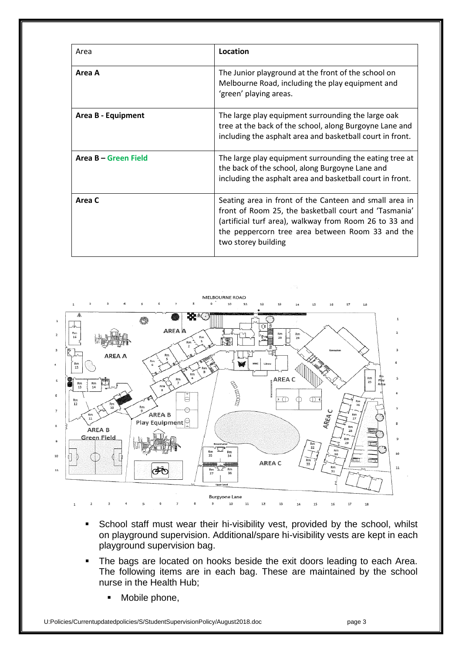| Area                 | Location                                                                                                                                                                                                                                             |
|----------------------|------------------------------------------------------------------------------------------------------------------------------------------------------------------------------------------------------------------------------------------------------|
| Area A               | The Junior playground at the front of the school on<br>Melbourne Road, including the play equipment and<br>'green' playing areas.                                                                                                                    |
| Area B - Equipment   | The large play equipment surrounding the large oak<br>tree at the back of the school, along Burgoyne Lane and<br>including the asphalt area and basketball court in front.                                                                           |
| Area B - Green Field | The large play equipment surrounding the eating tree at<br>the back of the school, along Burgoyne Lane and<br>including the asphalt area and basketball court in front.                                                                              |
| Area C               | Seating area in front of the Canteen and small area in<br>front of Room 25, the basketball court and 'Tasmania'<br>(artificial turf area), walkway from Room 26 to 33 and<br>the peppercorn tree area between Room 33 and the<br>two storey building |



- School staff must wear their hi-visibility vest, provided by the school, whilst on playground supervision. Additional/spare hi-visibility vests are kept in each playground supervision bag.
- The bags are located on hooks beside the exit doors leading to each Area. The following items are in each bag. These are maintained by the school nurse in the Health Hub;
	- Mobile phone,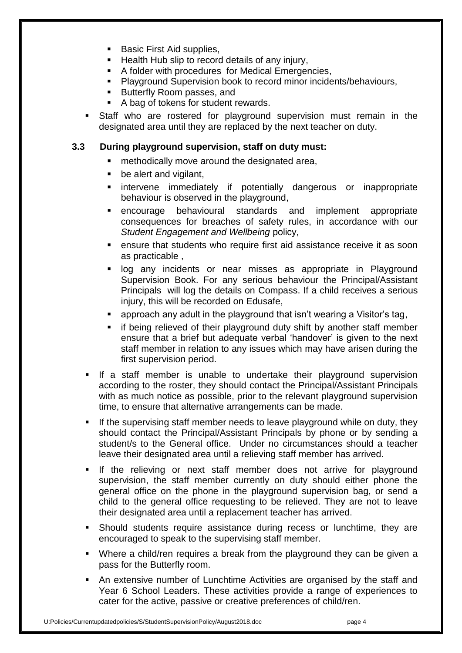- Basic First Aid supplies,
- **Health Hub slip to record details of any injury,**
- A folder with procedures for Medical Emergencies,
- Playground Supervision book to record minor incidents/behaviours,
- **Butterfly Room passes, and**
- A bag of tokens for student rewards.
- Staff who are rostered for playground supervision must remain in the designated area until they are replaced by the next teacher on duty.

### **3.3 During playground supervision, staff on duty must:**

- **EXECUTE:** methodically move around the designated area,
- **be alert and vigilant,**
- **n** intervene immediately if potentially dangerous or inappropriate behaviour is observed in the playground,
- encourage behavioural standards and implement appropriate consequences for breaches of safety rules, in accordance with our *Student Engagement and Wellbeing* policy,
- **EXECT** ensure that students who require first aid assistance receive it as soon as practicable ,
- **-** log any incidents or near misses as appropriate in Playground Supervision Book. For any serious behaviour the Principal/Assistant Principals will log the details on Compass. If a child receives a serious injury, this will be recorded on Edusafe,
- approach any adult in the playground that isn't wearing a Visitor's tag,
- **EXT** if being relieved of their playground duty shift by another staff member ensure that a brief but adequate verbal 'handover' is given to the next staff member in relation to any issues which may have arisen during the first supervision period.
- If a staff member is unable to undertake their playground supervision according to the roster, they should contact the Principal/Assistant Principals with as much notice as possible, prior to the relevant playground supervision time, to ensure that alternative arrangements can be made.
- If the supervising staff member needs to leave playground while on duty, they should contact the Principal/Assistant Principals by phone or by sending a student/s to the General office. Under no circumstances should a teacher leave their designated area until a relieving staff member has arrived.
- If the relieving or next staff member does not arrive for playground supervision, the staff member currently on duty should either phone the general office on the phone in the playground supervision bag, or send a child to the general office requesting to be relieved. They are not to leave their designated area until a replacement teacher has arrived.
- Should students require assistance during recess or lunchtime, they are encouraged to speak to the supervising staff member.
- Where a child/ren requires a break from the playground they can be given a pass for the Butterfly room.
- An extensive number of Lunchtime Activities are organised by the staff and Year 6 School Leaders. These activities provide a range of experiences to cater for the active, passive or creative preferences of child/ren.